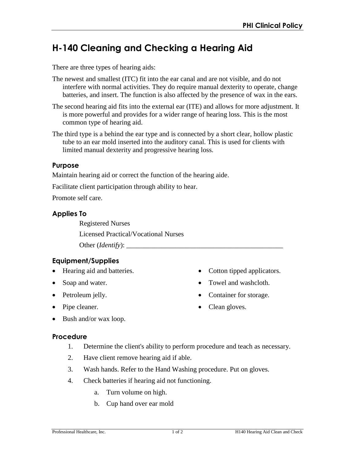# **H-140 Cleaning and Checking a Hearing Aid**

There are three types of hearing aids:

- The newest and smallest (ITC) fit into the ear canal and are not visible, and do not interfere with normal activities. They do require manual dexterity to operate, change batteries, and insert. The function is also affected by the presence of wax in the ears.
- The second hearing aid fits into the external ear (ITE) and allows for more adjustment. It is more powerful and provides for a wider range of hearing loss. This is the most common type of hearing aid.
- The third type is a behind the ear type and is connected by a short clear, hollow plastic tube to an ear mold inserted into the auditory canal. This is used for clients with limited manual dexterity and progressive hearing loss.

#### **Purpose**

Maintain hearing aid or correct the function of the hearing aide.

Facilitate client participation through ability to hear.

Promote self care.

#### **Applies To**

Registered Nurses

Licensed Practical/Vocational Nurses

Other (*Identify*):

## **Equipment/Supplies**

- Hearing aid and batteries.
- Soap and water.
- Petroleum jelly.
- Pipe cleaner.
- Cotton tipped applicators.
- Towel and washcloth.
- Container for storage.
- Clean gloves.

• Bush and/or wax loop.

#### **Procedure**

- 1. Determine the client's ability to perform procedure and teach as necessary.
- 2. Have client remove hearing aid if able.
- 3. Wash hands. Refer to the Hand Washing procedure. Put on gloves.
- 4. Check batteries if hearing aid not functioning.
	- a. Turn volume on high.
	- b. Cup hand over ear mold